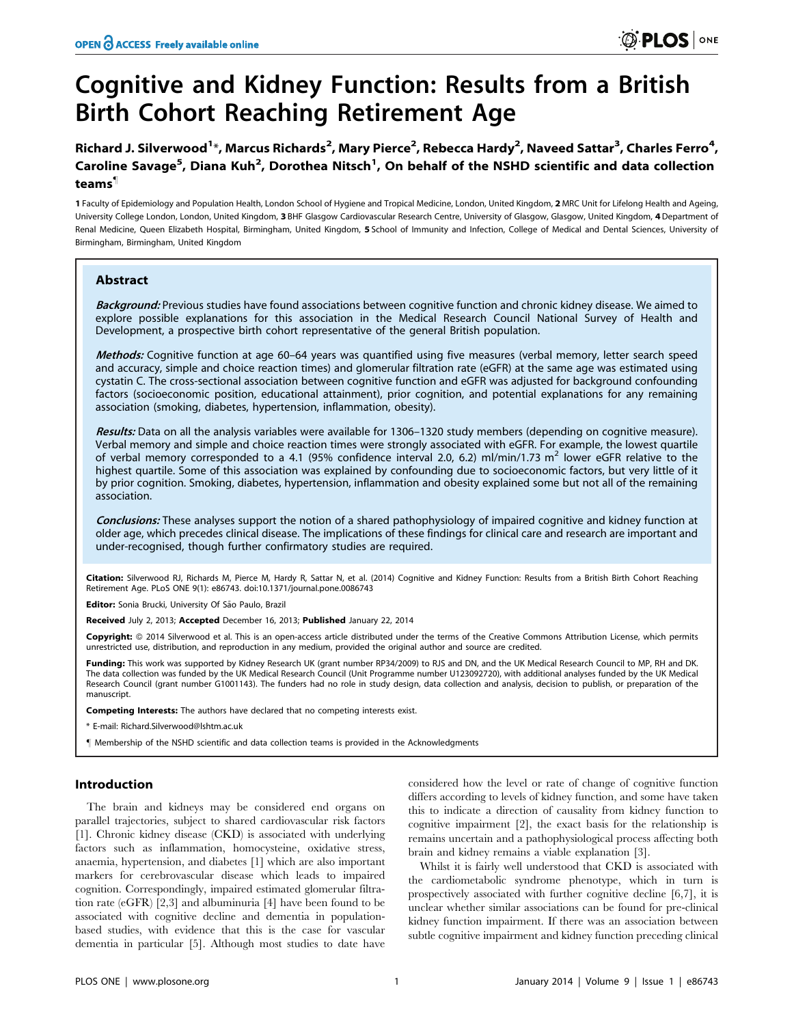# Cognitive and Kidney Function: Results from a British Birth Cohort Reaching Retirement Age

Richard J. Silverwood<sup>1</sup>\*, Marcus Richards<sup>2</sup>, Mary Pierce<sup>2</sup>, Rebecca Hardy<sup>2</sup>, Naveed Sattar<sup>3</sup>, Charles Ferro<sup>4</sup>, Caroline Savage<sup>5</sup>, Diana Kuh<sup>2</sup>, Dorothea Nitsch<sup>1</sup>, On behalf of the NSHD scientific and data collection teams"

1 Faculty of Epidemiology and Population Health, London School of Hygiene and Tropical Medicine, London, United Kingdom, 2 MRC Unit for Lifelong Health and Ageing, University College London, London, United Kingdom, 3 BHF Glasgow Cardiovascular Research Centre, University of Glasgow, Glasgow, United Kingdom, 4 Department of Renal Medicine, Queen Elizabeth Hospital, Birmingham, United Kingdom, 5 School of Immunity and Infection, College of Medical and Dental Sciences, University of Birmingham, Birmingham, United Kingdom

# Abstract

Background: Previous studies have found associations between cognitive function and chronic kidney disease. We aimed to explore possible explanations for this association in the Medical Research Council National Survey of Health and Development, a prospective birth cohort representative of the general British population.

Methods: Cognitive function at age 60-64 years was quantified using five measures (verbal memory, letter search speed and accuracy, simple and choice reaction times) and glomerular filtration rate (eGFR) at the same age was estimated using cystatin C. The cross-sectional association between cognitive function and eGFR was adjusted for background confounding factors (socioeconomic position, educational attainment), prior cognition, and potential explanations for any remaining association (smoking, diabetes, hypertension, inflammation, obesity).

Results: Data on all the analysis variables were available for 1306-1320 study members (depending on cognitive measure). Verbal memory and simple and choice reaction times were strongly associated with eGFR. For example, the lowest quartile of verbal memory corresponded to a 4.1 (95% confidence interval 2.0, 6.2) ml/min/1.73 m<sup>2</sup> lower eGFR relative to the highest quartile. Some of this association was explained by confounding due to socioeconomic factors, but very little of it by prior cognition. Smoking, diabetes, hypertension, inflammation and obesity explained some but not all of the remaining association.

Conclusions: These analyses support the notion of a shared pathophysiology of impaired cognitive and kidney function at older age, which precedes clinical disease. The implications of these findings for clinical care and research are important and under-recognised, though further confirmatory studies are required.

Citation: Silverwood RJ, Richards M, Pierce M, Hardy R, Sattar N, et al. (2014) Cognitive and Kidney Function: Results from a British Birth Cohort Reaching Retirement Age. PLoS ONE 9(1): e86743. doi:10.1371/journal.pone.0086743

Editor: Sonia Brucki, University Of São Paulo, Brazil

Received July 2, 2013; Accepted December 16, 2013; Published January 22, 2014

Copyright: © 2014 Silverwood et al. This is an open-access article distributed under the terms of the Creative Commons Attribution License, which permits unrestricted use, distribution, and reproduction in any medium, provided the original author and source are credited.

Funding: This work was supported by Kidney Research UK (grant number RP34/2009) to RJS and DN, and the UK Medical Research Council to MP, RH and DK. The data collection was funded by the UK Medical Research Council (Unit Programme number U123092720), with additional analyses funded by the UK Medical Research Council (grant number G1001143). The funders had no role in study design, data collection and analysis, decision to publish, or preparation of the manuscript.

Competing Interests: The authors have declared that no competing interests exist.

\* E-mail: Richard.Silverwood@lshtm.ac.uk

" Membership of the NSHD scientific and data collection teams is provided in the Acknowledgments

# Introduction

The brain and kidneys may be considered end organs on parallel trajectories, subject to shared cardiovascular risk factors [1]. Chronic kidney disease (CKD) is associated with underlying factors such as inflammation, homocysteine, oxidative stress, anaemia, hypertension, and diabetes [1] which are also important markers for cerebrovascular disease which leads to impaired cognition. Correspondingly, impaired estimated glomerular filtration rate (eGFR) [2,3] and albuminuria [4] have been found to be associated with cognitive decline and dementia in populationbased studies, with evidence that this is the case for vascular dementia in particular [5]. Although most studies to date have

considered how the level or rate of change of cognitive function differs according to levels of kidney function, and some have taken this to indicate a direction of causality from kidney function to cognitive impairment [2], the exact basis for the relationship is remains uncertain and a pathophysiological process affecting both brain and kidney remains a viable explanation [3].

Whilst it is fairly well understood that CKD is associated with the cardiometabolic syndrome phenotype, which in turn is prospectively associated with further cognitive decline [6,7], it is unclear whether similar associations can be found for pre-clinical kidney function impairment. If there was an association between subtle cognitive impairment and kidney function preceding clinical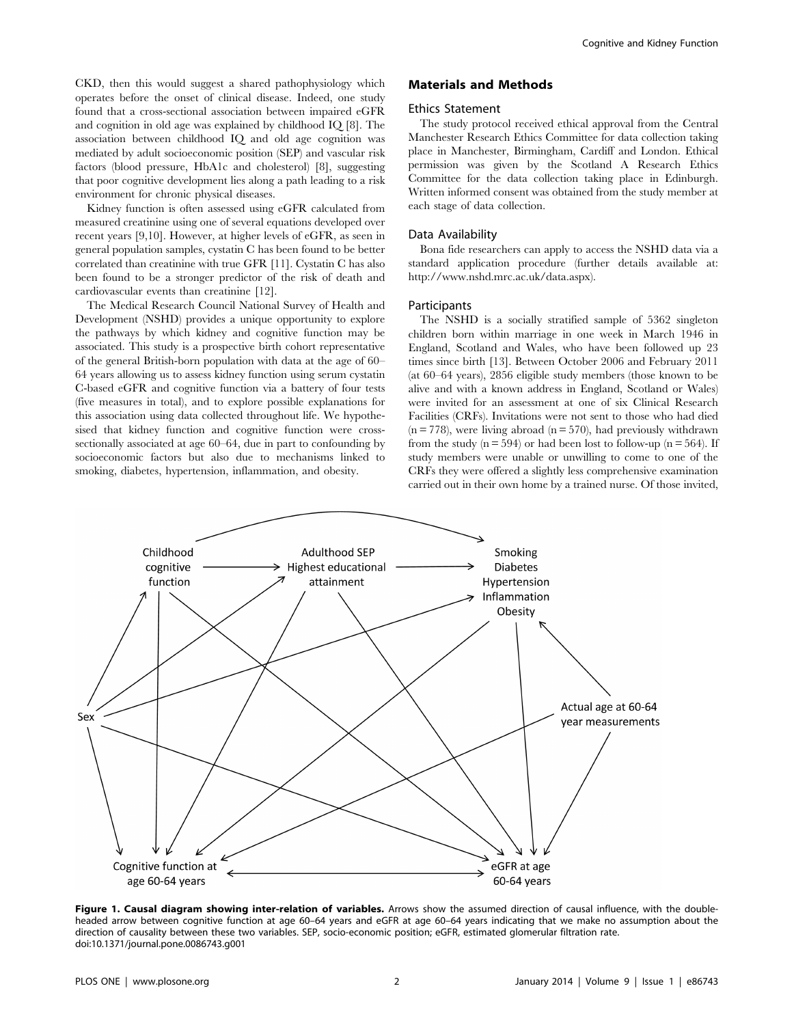CKD, then this would suggest a shared pathophysiology which operates before the onset of clinical disease. Indeed, one study found that a cross-sectional association between impaired eGFR and cognition in old age was explained by childhood IQ [8]. The association between childhood IQ and old age cognition was mediated by adult socioeconomic position (SEP) and vascular risk factors (blood pressure, HbA1c and cholesterol) [8], suggesting that poor cognitive development lies along a path leading to a risk environment for chronic physical diseases.

Kidney function is often assessed using eGFR calculated from measured creatinine using one of several equations developed over recent years [9,10]. However, at higher levels of eGFR, as seen in general population samples, cystatin C has been found to be better correlated than creatinine with true GFR [11]. Cystatin C has also been found to be a stronger predictor of the risk of death and cardiovascular events than creatinine [12].

The Medical Research Council National Survey of Health and Development (NSHD) provides a unique opportunity to explore the pathways by which kidney and cognitive function may be associated. This study is a prospective birth cohort representative of the general British-born population with data at the age of 60– 64 years allowing us to assess kidney function using serum cystatin C-based eGFR and cognitive function via a battery of four tests (five measures in total), and to explore possible explanations for this association using data collected throughout life. We hypothesised that kidney function and cognitive function were crosssectionally associated at age 60–64, due in part to confounding by socioeconomic factors but also due to mechanisms linked to smoking, diabetes, hypertension, inflammation, and obesity.

# Materials and Methods

#### Ethics Statement

The study protocol received ethical approval from the Central Manchester Research Ethics Committee for data collection taking place in Manchester, Birmingham, Cardiff and London. Ethical permission was given by the Scotland A Research Ethics Committee for the data collection taking place in Edinburgh. Written informed consent was obtained from the study member at each stage of data collection.

#### Data Availability

Bona fide researchers can apply to access the NSHD data via a standard application procedure (further details available at: http://www.nshd.mrc.ac.uk/data.aspx).

#### Participants

The NSHD is a socially stratified sample of 5362 singleton children born within marriage in one week in March 1946 in England, Scotland and Wales, who have been followed up 23 times since birth [13]. Between October 2006 and February 2011 (at 60–64 years), 2856 eligible study members (those known to be alive and with a known address in England, Scotland or Wales) were invited for an assessment at one of six Clinical Research Facilities (CRFs). Invitations were not sent to those who had died  $(n = 778)$ , were living abroad  $(n = 570)$ , had previously withdrawn from the study  $(n = 594)$  or had been lost to follow-up  $(n = 564)$ . If study members were unable or unwilling to come to one of the CRFs they were offered a slightly less comprehensive examination carried out in their own home by a trained nurse. Of those invited,



Figure 1. Causal diagram showing inter-relation of variables. Arrows show the assumed direction of causal influence, with the doubleheaded arrow between cognitive function at age 60–64 years and eGFR at age 60–64 years indicating that we make no assumption about the direction of causality between these two variables. SEP, socio-economic position; eGFR, estimated glomerular filtration rate. doi:10.1371/journal.pone.0086743.g001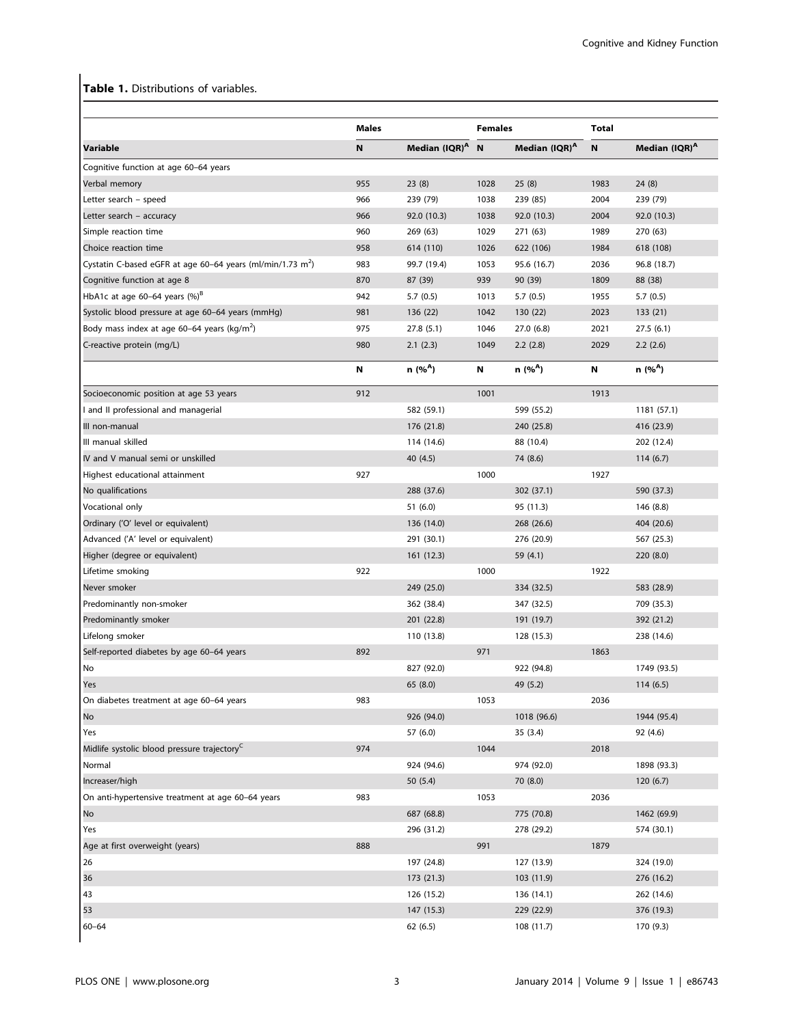# Table 1. Distributions of variables.

|                                                                        | <b>Males</b> |                             | <b>Females</b> |                           | Total |                           |  |
|------------------------------------------------------------------------|--------------|-----------------------------|----------------|---------------------------|-------|---------------------------|--|
| Variable                                                               | N            | Median (IQR) <sup>A</sup> N |                | Median (IQR) <sup>A</sup> | N     | Median (IQR) <sup>A</sup> |  |
| Cognitive function at age 60-64 years                                  |              |                             |                |                           |       |                           |  |
| Verbal memory                                                          | 955          | 23(8)                       | 1028           | 25(8)                     | 1983  | 24(8)                     |  |
| Letter search - speed                                                  | 966          | 239 (79)                    | 1038           | 239 (85)                  | 2004  | 239 (79)                  |  |
| Letter search - accuracy                                               | 966          | 92.0 (10.3)                 | 1038           | 92.0 (10.3)               | 2004  | 92.0 (10.3)               |  |
| Simple reaction time                                                   | 960          | 269 (63)                    | 1029           | 271 (63)                  | 1989  | 270 (63)                  |  |
| Choice reaction time                                                   | 958          | 614 (110)                   | 1026           | 622 (106)                 | 1984  | 618 (108)                 |  |
| Cystatin C-based eGFR at age 60–64 years (ml/min/1.73 m <sup>2</sup> ) | 983          | 99.7 (19.4)                 | 1053           | 95.6 (16.7)               | 2036  | 96.8 (18.7)               |  |
| Cognitive function at age 8                                            | 870          | 87 (39)                     | 939            | 90 (39)                   | 1809  | 88 (38)                   |  |
| HbA1c at age 60-64 years $(\%)^B$                                      | 942          | 5.7(0.5)                    | 1013           | 5.7(0.5)                  | 1955  | 5.7(0.5)                  |  |
| Systolic blood pressure at age 60-64 years (mmHg)                      | 981          | 136 (22)                    | 1042           | 130 (22)                  | 2023  | 133 (21)                  |  |
| Body mass index at age 60-64 years (kg/m <sup>2</sup> )                | 975          | 27.8(5.1)                   | 1046           | 27.0 (6.8)                | 2021  | 27.5(6.1)                 |  |
| C-reactive protein (mg/L)                                              | 980          | 2.1(2.3)                    | 1049           | 2.2(2.8)                  | 2029  | 2.2(2.6)                  |  |
|                                                                        | Ν            | $n (%^A)$                   | Ν              | n (% <sup>A</sup> )       | N     | $n (%^A)$                 |  |
| Socioeconomic position at age 53 years                                 | 912          |                             | 1001           |                           | 1913  |                           |  |
| I and II professional and managerial                                   |              | 582 (59.1)                  |                | 599 (55.2)                |       | 1181 (57.1)               |  |
| III non-manual                                                         |              | 176 (21.8)                  |                | 240 (25.8)                |       | 416 (23.9)                |  |
| III manual skilled                                                     |              | 114 (14.6)                  |                | 88 (10.4)                 |       | 202 (12.4)                |  |
| IV and V manual semi or unskilled                                      |              | 40 (4.5)                    |                | 74 (8.6)                  |       | 114(6.7)                  |  |
| Highest educational attainment                                         | 927          |                             | 1000           |                           | 1927  |                           |  |
| No qualifications                                                      |              | 288 (37.6)                  |                | 302 (37.1)                |       | 590 (37.3)                |  |
| Vocational only                                                        |              | 51 (6.0)                    |                | 95 (11.3)                 |       | 146 (8.8)                 |  |
| Ordinary ('O' level or equivalent)                                     |              | 136 (14.0)                  |                | 268 (26.6)                |       | 404 (20.6)                |  |
| Advanced ('A' level or equivalent)                                     |              | 291 (30.1)                  |                | 276 (20.9)                |       | 567 (25.3)                |  |
| Higher (degree or equivalent)                                          |              | 161(12.3)                   |                | 59 (4.1)                  |       | 220(8.0)                  |  |
| Lifetime smoking                                                       | 922          |                             | 1000           |                           | 1922  |                           |  |
| Never smoker                                                           |              | 249 (25.0)                  |                | 334 (32.5)                |       | 583 (28.9)                |  |
| Predominantly non-smoker                                               |              | 362 (38.4)                  |                | 347 (32.5)                |       | 709 (35.3)                |  |
| Predominantly smoker                                                   |              | 201 (22.8)                  |                | 191 (19.7)                |       | 392 (21.2)                |  |
| Lifelong smoker                                                        |              | 110 (13.8)                  |                | 128 (15.3)                |       | 238 (14.6)                |  |
| Self-reported diabetes by age 60-64 years                              | 892          |                             | 971            |                           | 1863  |                           |  |
| No                                                                     |              | 827 (92.0)                  |                | 922 (94.8)                |       | 1749 (93.5)               |  |
| Yes                                                                    |              | 65 (8.0)                    |                | 49 (5.2)                  |       | 114(6.5)                  |  |
| On diabetes treatment at age 60-64 years                               | 983          |                             | 1053           |                           | 2036  |                           |  |
| No                                                                     |              | 926 (94.0)                  |                | 1018 (96.6)               |       | 1944 (95.4)               |  |
| Yes                                                                    |              | 57 (6.0)                    |                | 35 (3.4)                  |       | 92 (4.6)                  |  |
| Midlife systolic blood pressure trajectory                             | 974          |                             | 1044           |                           | 2018  |                           |  |
| Normal                                                                 |              | 924 (94.6)                  |                | 974 (92.0)                |       | 1898 (93.3)               |  |
| Increaser/high                                                         |              | 50 (5.4)                    |                | 70 (8.0)                  |       | 120(6.7)                  |  |
| On anti-hypertensive treatment at age 60-64 years                      | 983          |                             | 1053           |                           | 2036  |                           |  |
| No                                                                     |              | 687 (68.8)                  |                | 775 (70.8)                |       | 1462 (69.9)               |  |
| Yes                                                                    |              | 296 (31.2)                  |                | 278 (29.2)                |       | 574 (30.1)                |  |
| Age at first overweight (years)                                        | 888          |                             | 991            |                           | 1879  |                           |  |
| 26                                                                     |              | 197 (24.8)                  |                | 127 (13.9)                |       | 324 (19.0)                |  |
| 36                                                                     |              | 173 (21.3)                  |                | 103 (11.9)                |       | 276 (16.2)                |  |
| 43                                                                     |              | 126 (15.2)                  |                | 136 (14.1)                |       | 262 (14.6)                |  |
| 53                                                                     |              | 147 (15.3)                  |                | 229 (22.9)                |       | 376 (19.3)                |  |
| $60 - 64$                                                              |              | 62 (6.5)                    |                | 108 (11.7)                |       | 170 (9.3)                 |  |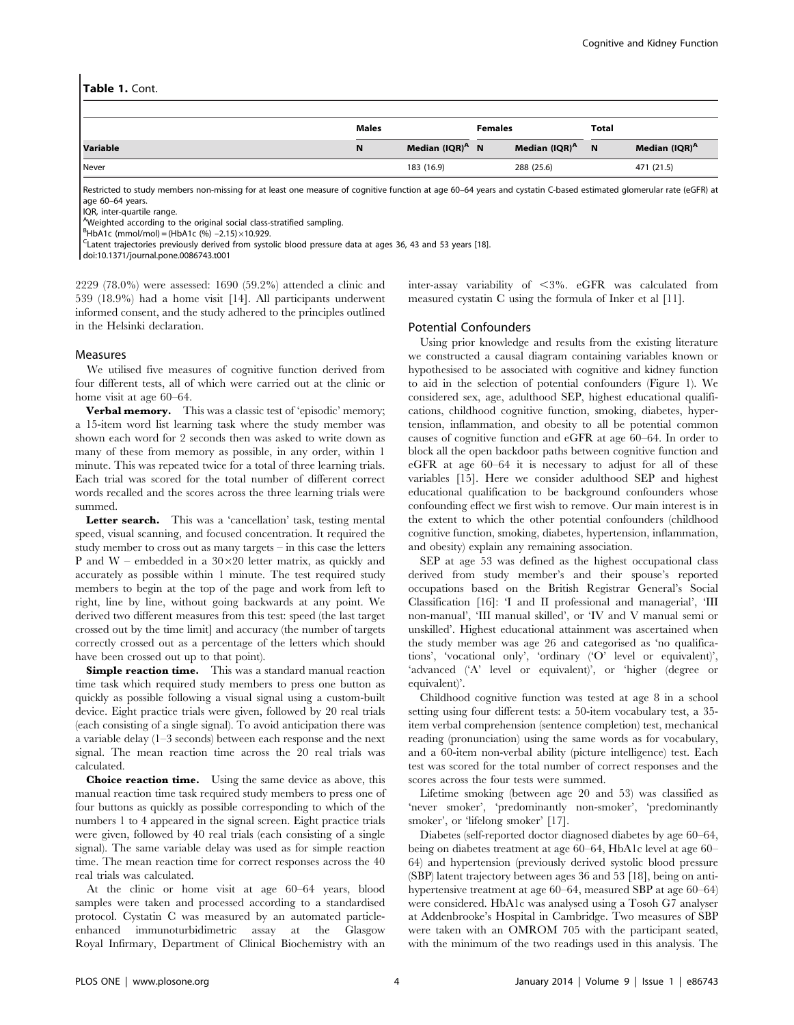#### Table 1. Cont.

|                 | <b>Males</b> |                    | <b>Females</b> |                           | Total |                           |
|-----------------|--------------|--------------------|----------------|---------------------------|-------|---------------------------|
| <i>Variable</i> | N            | Median $(IQR)^A$ N |                | Median (IQR) <sup>A</sup> | N     | Median (IQR) <sup>A</sup> |
| Never           |              | 183 (16.9)         |                | 288 (25.6)                |       | 471 (21.5)                |

Restricted to study members non-missing for at least one measure of cognitive function at age 60–64 years and cystatin C-based estimated glomerular rate (eGFR) at age 60–64 years.

IQR, inter-quartile range.

<sup>A</sup>Weighted according to the original social class-stratified sampling.

 $B$ HbA1c (mmol/mol) = (HbA1c (%) –2.15) $\times$ 10.929.

 $C$ Latent trajectories previously derived from systolic blood pressure data at ages 36, 43 and 53 years [18].

doi:10.1371/journal.pone.0086743.t001

2229 (78.0%) were assessed: 1690 (59.2%) attended a clinic and 539 (18.9%) had a home visit [14]. All participants underwent informed consent, and the study adhered to the principles outlined in the Helsinki declaration.

#### Measures

We utilised five measures of cognitive function derived from four different tests, all of which were carried out at the clinic or home visit at age 60–64.

Verbal memory. This was a classic test of 'episodic' memory; a 15-item word list learning task where the study member was shown each word for 2 seconds then was asked to write down as many of these from memory as possible, in any order, within 1 minute. This was repeated twice for a total of three learning trials. Each trial was scored for the total number of different correct words recalled and the scores across the three learning trials were summed.

Letter search. This was a 'cancellation' task, testing mental speed, visual scanning, and focused concentration. It required the study member to cross out as many targets – in this case the letters P and W – embedded in a  $30\times20$  letter matrix, as quickly and accurately as possible within 1 minute. The test required study members to begin at the top of the page and work from left to right, line by line, without going backwards at any point. We derived two different measures from this test: speed (the last target crossed out by the time limit] and accuracy (the number of targets correctly crossed out as a percentage of the letters which should have been crossed out up to that point).

Simple reaction time. This was a standard manual reaction time task which required study members to press one button as quickly as possible following a visual signal using a custom-built device. Eight practice trials were given, followed by 20 real trials (each consisting of a single signal). To avoid anticipation there was a variable delay (1–3 seconds) between each response and the next signal. The mean reaction time across the 20 real trials was calculated.

Choice reaction time. Using the same device as above, this manual reaction time task required study members to press one of four buttons as quickly as possible corresponding to which of the numbers 1 to 4 appeared in the signal screen. Eight practice trials were given, followed by 40 real trials (each consisting of a single signal). The same variable delay was used as for simple reaction time. The mean reaction time for correct responses across the 40 real trials was calculated.

At the clinic or home visit at age 60–64 years, blood samples were taken and processed according to a standardised protocol. Cystatin C was measured by an automated particleenhanced immunoturbidimetric assay at the Glasgow Royal Infirmary, Department of Clinical Biochemistry with an inter-assay variability of <3%. eGFR was calculated from measured cystatin C using the formula of Inker et al [11].

#### Potential Confounders

Using prior knowledge and results from the existing literature we constructed a causal diagram containing variables known or hypothesised to be associated with cognitive and kidney function to aid in the selection of potential confounders (Figure 1). We considered sex, age, adulthood SEP, highest educational qualifications, childhood cognitive function, smoking, diabetes, hypertension, inflammation, and obesity to all be potential common causes of cognitive function and eGFR at age 60–64. In order to block all the open backdoor paths between cognitive function and eGFR at age 60–64 it is necessary to adjust for all of these variables [15]. Here we consider adulthood SEP and highest educational qualification to be background confounders whose confounding effect we first wish to remove. Our main interest is in the extent to which the other potential confounders (childhood cognitive function, smoking, diabetes, hypertension, inflammation, and obesity) explain any remaining association.

SEP at age 53 was defined as the highest occupational class derived from study member's and their spouse's reported occupations based on the British Registrar General's Social Classification [16]: 'I and II professional and managerial', 'III non-manual', 'III manual skilled', or 'IV and V manual semi or unskilled'. Highest educational attainment was ascertained when the study member was age 26 and categorised as 'no qualifications', 'vocational only', 'ordinary ('O' level or equivalent)', 'advanced ('A' level or equivalent)', or 'higher (degree or equivalent)'.

Childhood cognitive function was tested at age 8 in a school setting using four different tests: a 50-item vocabulary test, a 35 item verbal comprehension (sentence completion) test, mechanical reading (pronunciation) using the same words as for vocabulary, and a 60-item non-verbal ability (picture intelligence) test. Each test was scored for the total number of correct responses and the scores across the four tests were summed.

Lifetime smoking (between age 20 and 53) was classified as 'never smoker', 'predominantly non-smoker', 'predominantly smoker', or 'lifelong smoker' [17].

Diabetes (self-reported doctor diagnosed diabetes by age 60–64, being on diabetes treatment at age 60–64, HbA1c level at age 60– 64) and hypertension (previously derived systolic blood pressure (SBP) latent trajectory between ages 36 and 53 [18], being on antihypertensive treatment at age 60–64, measured SBP at age 60–64) were considered. HbA1c was analysed using a Tosoh G7 analyser at Addenbrooke's Hospital in Cambridge. Two measures of SBP were taken with an OMROM 705 with the participant seated, with the minimum of the two readings used in this analysis. The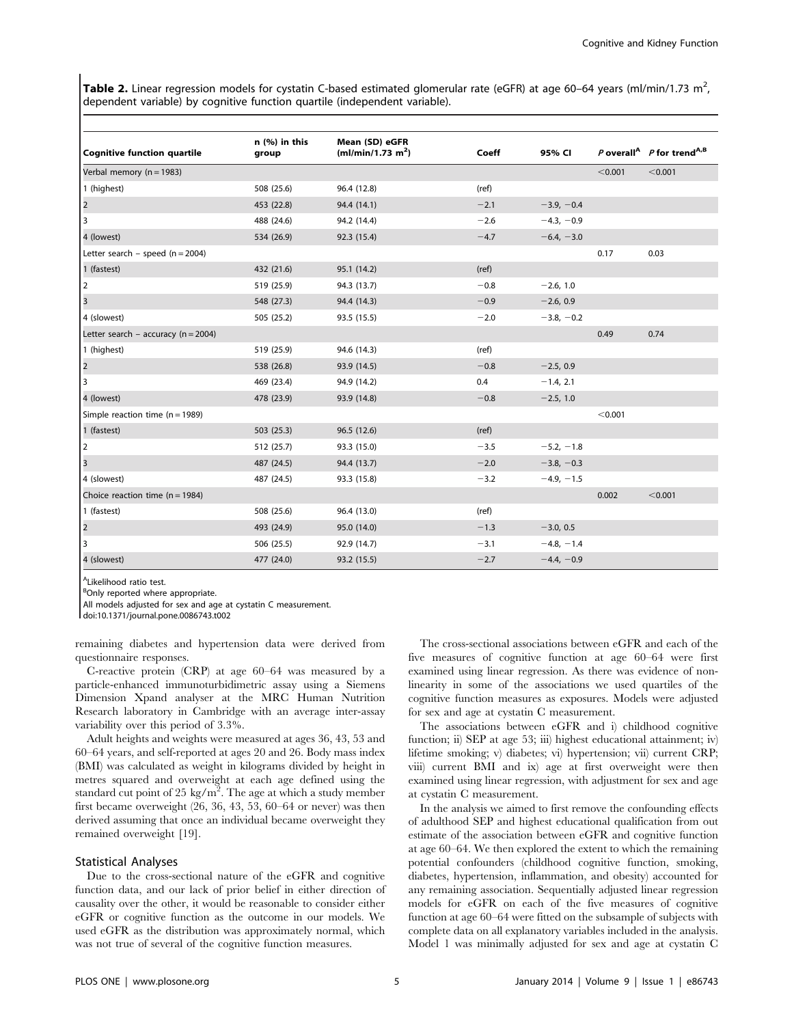Table 2. Linear regression models for cystatin C-based estimated glomerular rate (eGFR) at age 60–64 years (ml/min/1.73 m<sup>2</sup>, dependent variable) by cognitive function quartile (independent variable).

| <b>Cognitive function quartile</b>      | $n$ (%) in this<br>group | Mean (SD) eGFR<br>(ml/min/1.73 m <sup>2</sup> ) | Coeff  | 95% CI       |         | P overall <sup>A</sup> P for trend <sup>A,B</sup> |
|-----------------------------------------|--------------------------|-------------------------------------------------|--------|--------------|---------|---------------------------------------------------|
| Verbal memory (n = 1983)                |                          |                                                 |        |              | < 0.001 | < 0.001                                           |
| 1 (highest)                             | 508 (25.6)               | 96.4 (12.8)                                     | (ref)  |              |         |                                                   |
| $\overline{\mathbf{c}}$                 | 453 (22.8)               | 94.4 (14.1)                                     | $-2.1$ | $-3.9, -0.4$ |         |                                                   |
| 3                                       | 488 (24.6)               | 94.2 (14.4)                                     | $-2.6$ | $-4.3, -0.9$ |         |                                                   |
| 4 (lowest)                              | 534 (26.9)               | 92.3 (15.4)                                     | $-4.7$ | $-6.4, -3.0$ |         |                                                   |
| Letter search - speed ( $n = 2004$ )    |                          |                                                 |        |              | 0.17    | 0.03                                              |
| 1 (fastest)                             | 432 (21.6)               | 95.1 (14.2)                                     | (ref)  |              |         |                                                   |
| $\overline{2}$                          | 519 (25.9)               | 94.3 (13.7)                                     | $-0.8$ | $-2.6, 1.0$  |         |                                                   |
| $\overline{\mathbf{3}}$                 | 548 (27.3)               | 94.4 (14.3)                                     | $-0.9$ | $-2.6, 0.9$  |         |                                                   |
| 4 (slowest)                             | 505 (25.2)               | 93.5 (15.5)                                     | $-2.0$ | $-3.8, -0.2$ |         |                                                   |
| Letter search - accuracy ( $n = 2004$ ) |                          |                                                 |        |              | 0.49    | 0.74                                              |
| 1 (highest)                             | 519 (25.9)               | 94.6 (14.3)                                     | (ref)  |              |         |                                                   |
| $\overline{a}$                          | 538 (26.8)               | 93.9 (14.5)                                     | $-0.8$ | $-2.5, 0.9$  |         |                                                   |
| $\overline{3}$                          | 469 (23.4)               | 94.9 (14.2)                                     | 0.4    | $-1.4, 2.1$  |         |                                                   |
| 4 (lowest)                              | 478 (23.9)               | 93.9 (14.8)                                     | $-0.8$ | $-2.5, 1.0$  |         |                                                   |
| Simple reaction time ( $n = 1989$ )     |                          |                                                 |        |              | < 0.001 |                                                   |
| 1 (fastest)                             | 503(25.3)                | 96.5 (12.6)                                     | (ref)  |              |         |                                                   |
| $\overline{2}$                          | 512 (25.7)               | 93.3 (15.0)                                     | $-3.5$ | $-5.2, -1.8$ |         |                                                   |
| $\overline{3}$                          | 487 (24.5)               | 94.4 (13.7)                                     | $-2.0$ | $-3.8, -0.3$ |         |                                                   |
| 4 (slowest)                             | 487 (24.5)               | 93.3 (15.8)                                     | $-3.2$ | $-4.9, -1.5$ |         |                                                   |
| Choice reaction time ( $n = 1984$ )     |                          |                                                 |        |              | 0.002   | < 0.001                                           |
| 1 (fastest)                             | 508 (25.6)               | 96.4 (13.0)                                     | (ref)  |              |         |                                                   |
| $\overline{\mathbf{c}}$                 | 493 (24.9)               | 95.0 (14.0)                                     | $-1.3$ | $-3.0, 0.5$  |         |                                                   |
| 3                                       | 506 (25.5)               | 92.9 (14.7)                                     | $-3.1$ | $-4.8, -1.4$ |         |                                                   |
| 4 (slowest)                             | 477 (24.0)               | 93.2 (15.5)                                     | $-2.7$ | $-4.4, -0.9$ |         |                                                   |

<sup>A</sup>Likelihood ratio test.

<sup>B</sup>Only reported where appropriate.

All models adjusted for sex and age at cystatin C measurement.

doi:10.1371/journal.pone.0086743.t002

remaining diabetes and hypertension data were derived from questionnaire responses.

C-reactive protein (CRP) at age 60–64 was measured by a particle-enhanced immunoturbidimetric assay using a Siemens Dimension Xpand analyser at the MRC Human Nutrition Research laboratory in Cambridge with an average inter-assay variability over this period of 3.3%.

Adult heights and weights were measured at ages 36, 43, 53 and 60–64 years, and self-reported at ages 20 and 26. Body mass index (BMI) was calculated as weight in kilograms divided by height in metres squared and overweight at each age defined using the standard cut point of 25 kg/m<sup>2</sup>. The age at which a study member first became overweight (26, 36, 43, 53, 60–64 or never) was then derived assuming that once an individual became overweight they remained overweight [19].

#### Statistical Analyses

Due to the cross-sectional nature of the eGFR and cognitive function data, and our lack of prior belief in either direction of causality over the other, it would be reasonable to consider either eGFR or cognitive function as the outcome in our models. We used eGFR as the distribution was approximately normal, which was not true of several of the cognitive function measures.

The cross-sectional associations between eGFR and each of the five measures of cognitive function at age 60–64 were first examined using linear regression. As there was evidence of nonlinearity in some of the associations we used quartiles of the cognitive function measures as exposures. Models were adjusted for sex and age at cystatin C measurement.

The associations between eGFR and i) childhood cognitive function; ii) SEP at age 53; iii) highest educational attainment; iv) lifetime smoking; v) diabetes; vi) hypertension; vii) current CRP; viii) current BMI and ix) age at first overweight were then examined using linear regression, with adjustment for sex and age at cystatin C measurement.

In the analysis we aimed to first remove the confounding effects of adulthood SEP and highest educational qualification from out estimate of the association between eGFR and cognitive function at age 60–64. We then explored the extent to which the remaining potential confounders (childhood cognitive function, smoking, diabetes, hypertension, inflammation, and obesity) accounted for any remaining association. Sequentially adjusted linear regression models for eGFR on each of the five measures of cognitive function at age 60–64 were fitted on the subsample of subjects with complete data on all explanatory variables included in the analysis. Model 1 was minimally adjusted for sex and age at cystatin C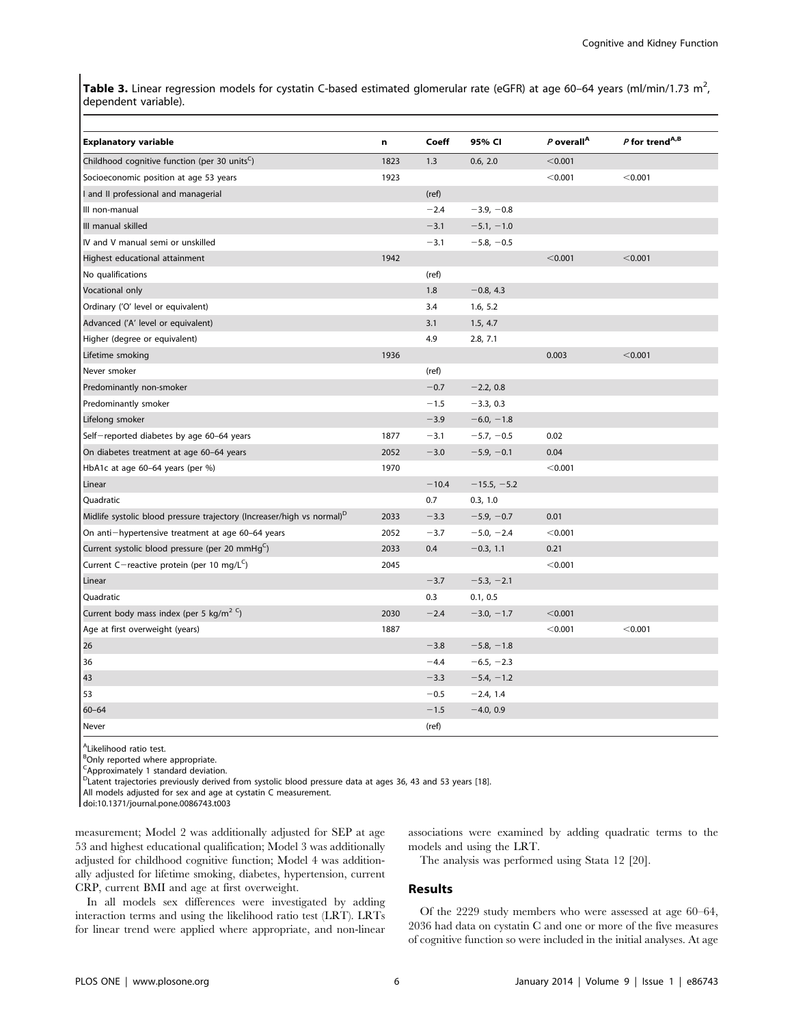Table 3. Linear regression models for cystatin C-based estimated glomerular rate (eGFR) at age 60–64 years (ml/min/1.73 m<sup>2</sup>, dependent variable).

| <b>Explanatory variable</b>                                                        | n    | Coeff   | 95% CI        | P overall <sup>A</sup> | $P$ for trend <sup>A,B</sup> |
|------------------------------------------------------------------------------------|------|---------|---------------|------------------------|------------------------------|
| Childhood cognitive function (per 30 units $\mathcal{S}$ )                         | 1823 | 1.3     | 0.6, 2.0      | < 0.001                |                              |
| Socioeconomic position at age 53 years                                             | 1923 |         |               | < 0.001                | < 0.001                      |
| I and II professional and managerial                                               |      | (ref)   |               |                        |                              |
| III non-manual                                                                     |      | $-2.4$  | $-3.9, -0.8$  |                        |                              |
| III manual skilled                                                                 |      | $-3.1$  | $-5.1, -1.0$  |                        |                              |
| IV and V manual semi or unskilled                                                  |      | $-3.1$  | $-5.8, -0.5$  |                        |                              |
| Highest educational attainment                                                     | 1942 |         |               | < 0.001                | < 0.001                      |
| No qualifications                                                                  |      | (ref)   |               |                        |                              |
| <b>Vocational only</b>                                                             |      | 1.8     | $-0.8, 4.3$   |                        |                              |
| Ordinary ('O' level or equivalent)                                                 |      | 3.4     | 1.6, 5.2      |                        |                              |
| Advanced ('A' level or equivalent)                                                 |      | 3.1     | 1.5, 4.7      |                        |                              |
| Higher (degree or equivalent)                                                      |      | 4.9     | 2.8, 7.1      |                        |                              |
| Lifetime smoking                                                                   | 1936 |         |               | 0.003                  | < 0.001                      |
| Never smoker                                                                       |      | (ref)   |               |                        |                              |
| Predominantly non-smoker                                                           |      | $-0.7$  | $-2.2, 0.8$   |                        |                              |
| Predominantly smoker                                                               |      | $-1.5$  | $-3.3, 0.3$   |                        |                              |
| Lifelong smoker                                                                    |      | $-3.9$  | $-6.0, -1.8$  |                        |                              |
| Self-reported diabetes by age 60-64 years                                          | 1877 | $-3.1$  | $-5.7, -0.5$  | 0.02                   |                              |
| On diabetes treatment at age 60-64 years                                           | 2052 | $-3.0$  | $-5.9, -0.1$  | 0.04                   |                              |
| HbA1c at age 60-64 years (per %)                                                   | 1970 |         |               | < 0.001                |                              |
| Linear                                                                             |      | $-10.4$ | $-15.5, -5.2$ |                        |                              |
| Quadratic                                                                          |      | 0.7     | 0.3, 1.0      |                        |                              |
| Midlife systolic blood pressure trajectory (Increaser/high vs normal) <sup>D</sup> | 2033 | $-3.3$  | $-5.9, -0.7$  | 0.01                   |                              |
| On anti-hypertensive treatment at age 60-64 years                                  | 2052 | $-3.7$  | $-5.0, -2.4$  | < 0.001                |                              |
| Current systolic blood pressure (per 20 mmHg <sup>C</sup> )                        | 2033 | 0.4     | $-0.3, 1.1$   | 0.21                   |                              |
| Current C-reactive protein (per 10 mg/L <sup>C</sup> )                             | 2045 |         |               | < 0.001                |                              |
| Linear                                                                             |      | $-3.7$  | $-5.3, -2.1$  |                        |                              |
| Quadratic                                                                          |      | 0.3     | 0.1, 0.5      |                        |                              |
| Current body mass index (per 5 kg/m <sup>2 C</sup> )                               | 2030 | $-2.4$  | $-3.0, -1.7$  | < 0.001                |                              |
| Age at first overweight (years)                                                    | 1887 |         |               | < 0.001                | < 0.001                      |
| 26                                                                                 |      | $-3.8$  | $-5.8, -1.8$  |                        |                              |
| 36                                                                                 |      | $-4.4$  | $-6.5, -2.3$  |                        |                              |
| 43                                                                                 |      | $-3.3$  | $-5.4, -1.2$  |                        |                              |
| 53                                                                                 |      | $-0.5$  | $-2.4, 1.4$   |                        |                              |
| $60 - 64$                                                                          |      | $-1.5$  | $-4.0, 0.9$   |                        |                              |
| Never                                                                              |      | (ref)   |               |                        |                              |

<sup>A</sup>Likelihood ratio test.

<sup>B</sup>Only reported where appropriate.

CApproximately 1 standard deviation.

<sup>D</sup>Latent trajectories previously derived from systolic blood pressure data at ages 36, 43 and 53 years [18].

All models adjusted for sex and age at cystatin C measurement.

doi:10.1371/journal.pone.0086743.t003

measurement; Model 2 was additionally adjusted for SEP at age 53 and highest educational qualification; Model 3 was additionally adjusted for childhood cognitive function; Model 4 was additionally adjusted for lifetime smoking, diabetes, hypertension, current CRP, current BMI and age at first overweight.

In all models sex differences were investigated by adding interaction terms and using the likelihood ratio test (LRT). LRTs for linear trend were applied where appropriate, and non-linear associations were examined by adding quadratic terms to the models and using the LRT.

The analysis was performed using Stata 12 [20].

# Results

Of the 2229 study members who were assessed at age 60–64, 2036 had data on cystatin C and one or more of the five measures of cognitive function so were included in the initial analyses. At age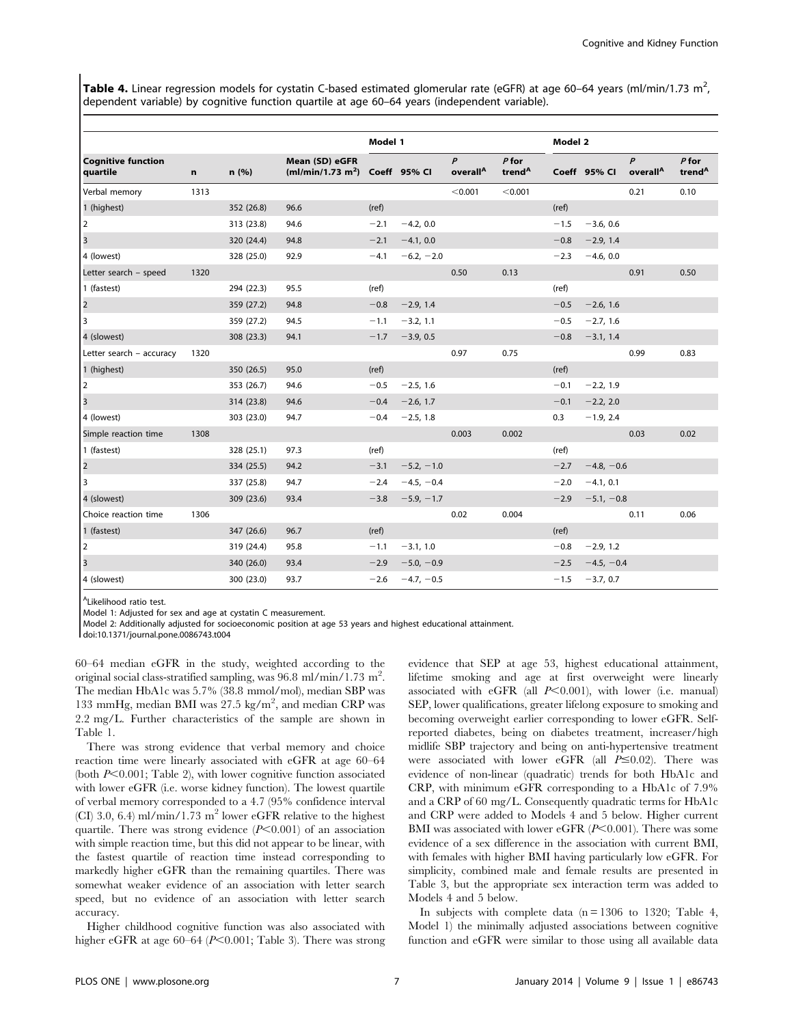Table 4. Linear regression models for cystatin C-based estimated glomerular rate (eGFR) at age 60–64 years (ml/min/1.73 m<sup>2</sup>, dependent variable) by cognitive function quartile at age 60–64 years (independent variable).

|                                       |      |            |                                                   | Model 1 |              |                           | Model 2                       |        |              |                                      |                               |
|---------------------------------------|------|------------|---------------------------------------------------|---------|--------------|---------------------------|-------------------------------|--------|--------------|--------------------------------------|-------------------------------|
| <b>Cognitive function</b><br>quartile | n    | n(%)       | Mean (SD) eGFR<br>$(mI/min/1.73 m2)$ Coeff 95% CI |         |              | P<br>overall <sup>A</sup> | $P$ for<br>trend <sup>A</sup> |        | Coeff 95% CI | $\mathsf{P}$<br>overall <sup>A</sup> | $P$ for<br>trend <sup>A</sup> |
| Verbal memory                         | 1313 |            |                                                   |         |              | < 0.001                   | < 0.001                       |        |              | 0.21                                 | 0.10                          |
| 1 (highest)                           |      | 352 (26.8) | 96.6                                              | (ref)   |              |                           |                               | (ref)  |              |                                      |                               |
| 2                                     |      | 313 (23.8) | 94.6                                              | $-2.1$  | $-4.2, 0.0$  |                           |                               | $-1.5$ | $-3.6, 0.6$  |                                      |                               |
| $\overline{3}$                        |      | 320 (24.4) | 94.8                                              | $-2.1$  | $-4.1, 0.0$  |                           |                               | $-0.8$ | $-2.9, 1.4$  |                                      |                               |
| 4 (lowest)                            |      | 328 (25.0) | 92.9                                              | $-4.1$  | $-6.2, -2.0$ |                           |                               | $-2.3$ | $-4.6, 0.0$  |                                      |                               |
| Letter search - speed                 | 1320 |            |                                                   |         |              | 0.50                      | 0.13                          |        |              | 0.91                                 | 0.50                          |
| 1 (fastest)                           |      | 294 (22.3) | 95.5                                              | (ref)   |              |                           |                               | (ref)  |              |                                      |                               |
| $\vert$ <sub>2</sub>                  |      | 359 (27.2) | 94.8                                              | $-0.8$  | $-2.9, 1.4$  |                           |                               | $-0.5$ | $-2.6, 1.6$  |                                      |                               |
| 3                                     |      | 359 (27.2) | 94.5                                              | $-1.1$  | $-3.2, 1.1$  |                           |                               | $-0.5$ | $-2.7, 1.6$  |                                      |                               |
| 4 (slowest)                           |      | 308 (23.3) | 94.1                                              | $-1.7$  | $-3.9, 0.5$  |                           |                               | $-0.8$ | $-3.1, 1.4$  |                                      |                               |
| Letter search - accuracy              | 1320 |            |                                                   |         |              | 0.97                      | 0.75                          |        |              | 0.99                                 | 0.83                          |
| 1 (highest)                           |      | 350 (26.5) | 95.0                                              | (ref)   |              |                           |                               | (ref)  |              |                                      |                               |
| 2                                     |      | 353 (26.7) | 94.6                                              | $-0.5$  | $-2.5, 1.6$  |                           |                               | $-0.1$ | $-2.2, 1.9$  |                                      |                               |
| $\overline{3}$                        |      | 314 (23.8) | 94.6                                              | $-0.4$  | $-2.6, 1.7$  |                           |                               | $-0.1$ | $-2.2, 2.0$  |                                      |                               |
| 4 (lowest)                            |      | 303 (23.0) | 94.7                                              | $-0.4$  | $-2.5, 1.8$  |                           |                               | 0.3    | $-1.9, 2.4$  |                                      |                               |
| Simple reaction time                  | 1308 |            |                                                   |         |              | 0.003                     | 0.002                         |        |              | 0.03                                 | 0.02                          |
| 1 (fastest)                           |      | 328 (25.1) | 97.3                                              | (ref)   |              |                           |                               | (ref)  |              |                                      |                               |
| $\vert$ <sub>2</sub>                  |      | 334 (25.5) | 94.2                                              | $-3.1$  | $-5.2, -1.0$ |                           |                               | $-2.7$ | $-4.8, -0.6$ |                                      |                               |
| 3                                     |      | 337 (25.8) | 94.7                                              | $-2.4$  | $-4.5, -0.4$ |                           |                               | $-2.0$ | $-4.1, 0.1$  |                                      |                               |
| 4 (slowest)                           |      | 309 (23.6) | 93.4                                              | $-3.8$  | $-5.9, -1.7$ |                           |                               | $-2.9$ | $-5.1, -0.8$ |                                      |                               |
| Choice reaction time                  | 1306 |            |                                                   |         |              | 0.02                      | 0.004                         |        |              | 0.11                                 | 0.06                          |
| 1 (fastest)                           |      | 347 (26.6) | 96.7                                              | (ref)   |              |                           |                               | (ref)  |              |                                      |                               |
| 2                                     |      | 319 (24.4) | 95.8                                              | $-1.1$  | $-3.1, 1.0$  |                           |                               | $-0.8$ | $-2.9, 1.2$  |                                      |                               |
| $\overline{3}$                        |      | 340 (26.0) | 93.4                                              | $-2.9$  | $-5.0, -0.9$ |                           |                               | $-2.5$ | $-4.5, -0.4$ |                                      |                               |
| 4 (slowest)                           |      | 300 (23.0) | 93.7                                              | $-2.6$  | $-4.7, -0.5$ |                           |                               | $-1.5$ | $-3.7, 0.7$  |                                      |                               |

<sup>A</sup>Likelihood ratio test.

Model 1: Adjusted for sex and age at cystatin C measurement.

Model 2: Additionally adjusted for socioeconomic position at age 53 years and highest educational attainment.

doi:10.1371/journal.pone.0086743.t004

60–64 median eGFR in the study, weighted according to the original social class-stratified sampling, was  $96.8 \text{ ml/min} / 1.73 \text{ m}^2$ . The median HbA1c was 5.7% (38.8 mmol/mol), median SBP was 133 mmHg, median BMI was 27.5 kg/m<sup>2</sup>, and median CRP was 2.2 mg/L. Further characteristics of the sample are shown in Table 1.

There was strong evidence that verbal memory and choice reaction time were linearly associated with eGFR at age 60–64 (both  $P<0.001$ ; Table 2), with lower cognitive function associated with lower eGFR (i.e. worse kidney function). The lowest quartile of verbal memory corresponded to a 4.7 (95% confidence interval (CI) 3.0, 6.4) ml/min/1.73 m<sup>2</sup> lower eGFR relative to the highest quartile. There was strong evidence  $(P<0.001)$  of an association with simple reaction time, but this did not appear to be linear, with the fastest quartile of reaction time instead corresponding to markedly higher eGFR than the remaining quartiles. There was somewhat weaker evidence of an association with letter search speed, but no evidence of an association with letter search accuracy.

Higher childhood cognitive function was also associated with higher eGFR at age 60–64 ( $P<$ 0.001; Table 3). There was strong evidence that SEP at age 53, highest educational attainment, lifetime smoking and age at first overweight were linearly associated with eGFR (all  $P<0.001$ ), with lower (i.e. manual) SEP, lower qualifications, greater lifelong exposure to smoking and becoming overweight earlier corresponding to lower eGFR. Selfreported diabetes, being on diabetes treatment, increaser/high midlife SBP trajectory and being on anti-hypertensive treatment were associated with lower eGFR (all  $P \le 0.02$ ). There was evidence of non-linear (quadratic) trends for both HbA1c and CRP, with minimum eGFR corresponding to a HbA1c of 7.9% and a CRP of 60 mg/L. Consequently quadratic terms for HbA1c and CRP were added to Models 4 and 5 below. Higher current BMI was associated with lower eGFR  $(P<0.001)$ . There was some evidence of a sex difference in the association with current BMI, with females with higher BMI having particularly low eGFR. For simplicity, combined male and female results are presented in Table 3, but the appropriate sex interaction term was added to Models 4 and 5 below.

In subjects with complete data  $(n = 1306$  to 1320; Table 4, Model 1) the minimally adjusted associations between cognitive function and eGFR were similar to those using all available data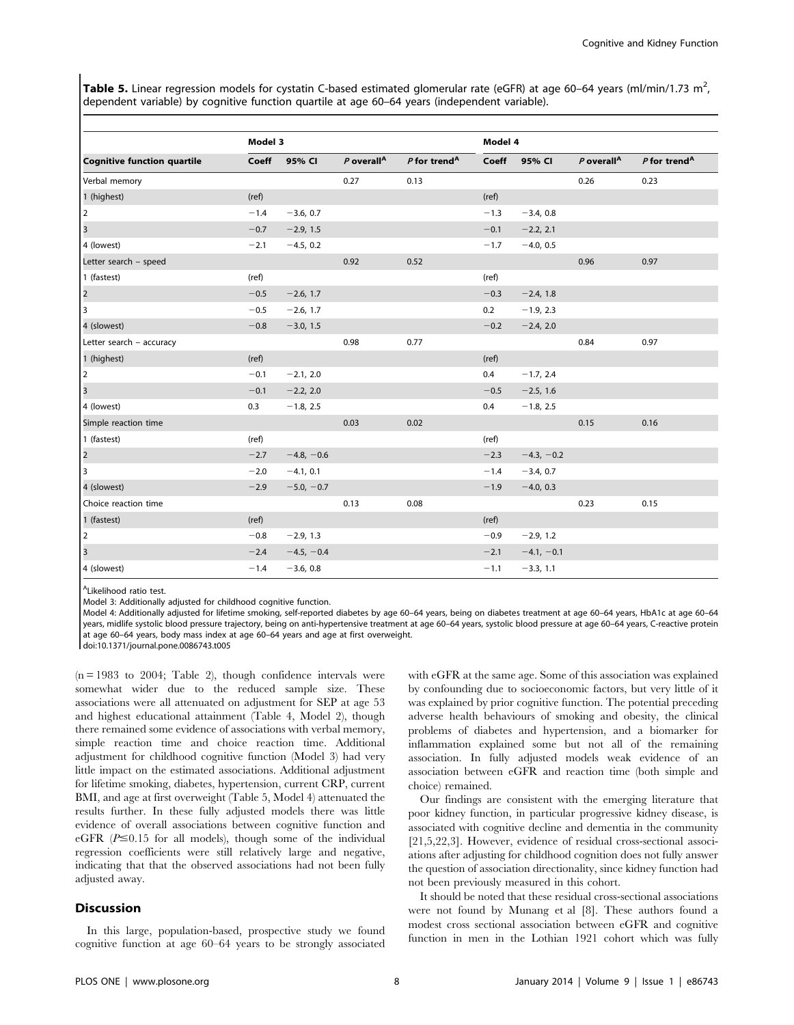Table 5. Linear regression models for cystatin C-based estimated glomerular rate (eGFR) at age 60–64 years (ml/min/1.73 m<sup>2</sup>, dependent variable) by cognitive function quartile at age 60–64 years (independent variable).

|                                    | Model 3 |              |                          |                            | Model 4 |              |                          |                            |
|------------------------------------|---------|--------------|--------------------------|----------------------------|---------|--------------|--------------------------|----------------------------|
| <b>Cognitive function quartile</b> | Coeff   | 95% CI       | $P$ overall <sup>A</sup> | $P$ for trend <sup>A</sup> | Coeff   | 95% CI       | $P$ overall <sup>A</sup> | $P$ for trend <sup>A</sup> |
| Verbal memory                      |         |              | 0.27                     | 0.13                       |         |              | 0.26                     | 0.23                       |
| 1 (highest)                        | (ref)   |              |                          |                            | (ref)   |              |                          |                            |
| $\vert$ 2                          | $-1.4$  | $-3.6, 0.7$  |                          |                            | $-1.3$  | $-3.4, 0.8$  |                          |                            |
| $\vert$ <sub>3</sub>               | $-0.7$  | $-2.9, 1.5$  |                          |                            | $-0.1$  | $-2.2, 2.1$  |                          |                            |
| 4 (lowest)                         | $-2.1$  | $-4.5, 0.2$  |                          |                            | $-1.7$  | $-4.0, 0.5$  |                          |                            |
| Letter search - speed              |         |              | 0.92                     | 0.52                       |         |              | 0.96                     | 0.97                       |
| 1 (fastest)                        | (ref)   |              |                          |                            | (ref)   |              |                          |                            |
| $\vert$ <sub>2</sub>               | $-0.5$  | $-2.6, 1.7$  |                          |                            | $-0.3$  | $-2.4, 1.8$  |                          |                            |
| $\vert$ 3                          | $-0.5$  | $-2.6, 1.7$  |                          |                            | 0.2     | $-1.9, 2.3$  |                          |                            |
| 4 (slowest)                        | $-0.8$  | $-3.0, 1.5$  |                          |                            | $-0.2$  | $-2.4, 2.0$  |                          |                            |
| Letter search - accuracy           |         |              | 0.98                     | 0.77                       |         |              | 0.84                     | 0.97                       |
| 1 (highest)                        | (ref)   |              |                          |                            | (ref)   |              |                          |                            |
| 2                                  | $-0.1$  | $-2.1, 2.0$  |                          |                            | 0.4     | $-1.7, 2.4$  |                          |                            |
| $\overline{\mathbf{3}}$            | $-0.1$  | $-2.2, 2.0$  |                          |                            | $-0.5$  | $-2.5, 1.6$  |                          |                            |
| 4 (lowest)                         | 0.3     | $-1.8, 2.5$  |                          |                            | 0.4     | $-1.8, 2.5$  |                          |                            |
| Simple reaction time               |         |              | 0.03                     | 0.02                       |         |              | 0.15                     | 0.16                       |
| 1 (fastest)                        | (ref)   |              |                          |                            | (ref)   |              |                          |                            |
| $\vert$ <sub>2</sub>               | $-2.7$  | $-4.8, -0.6$ |                          |                            | $-2.3$  | $-4.3, -0.2$ |                          |                            |
| 3                                  | $-2.0$  | $-4.1, 0.1$  |                          |                            | $-1.4$  | $-3.4, 0.7$  |                          |                            |
| 4 (slowest)                        | $-2.9$  | $-5.0, -0.7$ |                          |                            | $-1.9$  | $-4.0, 0.3$  |                          |                            |
| Choice reaction time               |         |              | 0.13                     | 0.08                       |         |              | 0.23                     | 0.15                       |
| 1 (fastest)                        | (ref)   |              |                          |                            | (ref)   |              |                          |                            |
| $\vert$ 2                          | $-0.8$  | $-2.9, 1.3$  |                          |                            | $-0.9$  | $-2.9, 1.2$  |                          |                            |
| $\vert$ <sub>3</sub>               | $-2.4$  | $-4.5, -0.4$ |                          |                            | $-2.1$  | $-4.1, -0.1$ |                          |                            |
| 4 (slowest)                        | $-1.4$  | $-3.6, 0.8$  |                          |                            | $-1.1$  | $-3.3, 1.1$  |                          |                            |

ALikelihood ratio test.

Model 3: Additionally adjusted for childhood cognitive function.

Model 4: Additionally adjusted for lifetime smoking, self-reported diabetes by age 60–64 years, being on diabetes treatment at age 60–64 years, HbA1c at age 60–64 years, midlife systolic blood pressure trajectory, being on anti-hypertensive treatment at age 60–64 years, systolic blood pressure at age 60–64 years, C-reactive protein at age 60–64 years, body mass index at age 60–64 years and age at first overweight.

doi:10.1371/journal.pone.0086743.t005

 $(n = 1983$  to 2004; Table 2), though confidence intervals were somewhat wider due to the reduced sample size. These associations were all attenuated on adjustment for SEP at age 53 and highest educational attainment (Table 4, Model 2), though there remained some evidence of associations with verbal memory, simple reaction time and choice reaction time. Additional adjustment for childhood cognitive function (Model 3) had very little impact on the estimated associations. Additional adjustment for lifetime smoking, diabetes, hypertension, current CRP, current BMI, and age at first overweight (Table 5, Model 4) attenuated the results further. In these fully adjusted models there was little evidence of overall associations between cognitive function and eGFR ( $P \le 0.15$  for all models), though some of the individual regression coefficients were still relatively large and negative, indicating that that the observed associations had not been fully adjusted away.

## **Discussion**

In this large, population-based, prospective study we found cognitive function at age 60–64 years to be strongly associated

with eGFR at the same age. Some of this association was explained by confounding due to socioeconomic factors, but very little of it was explained by prior cognitive function. The potential preceding adverse health behaviours of smoking and obesity, the clinical problems of diabetes and hypertension, and a biomarker for inflammation explained some but not all of the remaining association. In fully adjusted models weak evidence of an association between eGFR and reaction time (both simple and choice) remained.

Our findings are consistent with the emerging literature that poor kidney function, in particular progressive kidney disease, is associated with cognitive decline and dementia in the community [21,5,22,3]. However, evidence of residual cross-sectional associations after adjusting for childhood cognition does not fully answer the question of association directionality, since kidney function had not been previously measured in this cohort.

It should be noted that these residual cross-sectional associations were not found by Munang et al [8]. These authors found a modest cross sectional association between eGFR and cognitive function in men in the Lothian 1921 cohort which was fully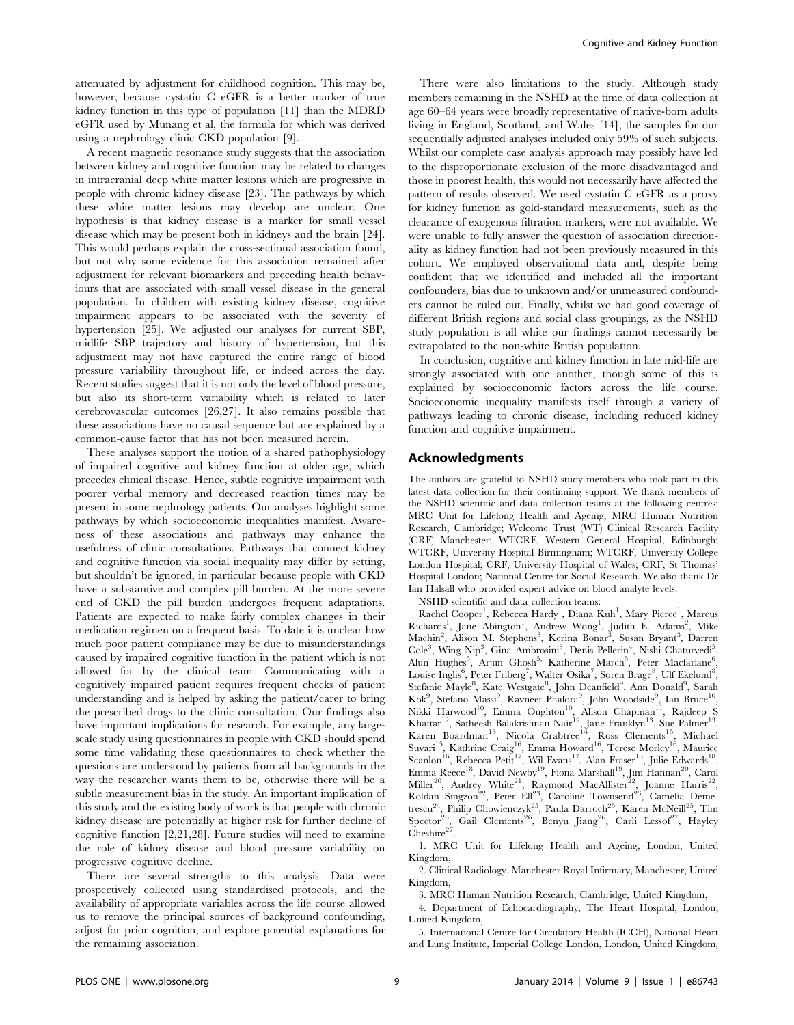attenuated by adjustment for childhood cognition. This may be, however, because cystatin C eGFR is a better marker of true kidney function in this type of population [11] than the MDRD eGFR used by Munang et al, the formula for which was derived using a nephrology clinic CKD population [9].

A recent magnetic resonance study suggests that the association between kidney and cognitive function may be related to changes in intracranial deep white matter lesions which are progressive in people with chronic kidney disease [23]. The pathways by which these white matter lesions may develop are unclear. One hypothesis is that kidney disease is a marker for small vessel disease which may be present both in kidneys and the brain [24]. This would perhaps explain the cross-sectional association found, but not why some evidence for this association remained after adjustment for relevant biomarkers and preceding health behaviours that are associated with small vessel disease in the general population. In children with existing kidney disease, cognitive impairment appears to be associated with the severity of hypertension [25]. We adjusted our analyses for current SBP, midlife SBP trajectory and history of hypertension, but this adjustment may not have captured the entire range of blood pressure variability throughout life, or indeed across the day. Recent studies suggest that it is not only the level of blood pressure, but also its short-term variability which is related to later cerebrovascular outcomes [26,27]. It also remains possible that these associations have no causal sequence but are explained by a common-cause factor that has not been measured herein.

These analyses support the notion of a shared pathophysiology of impaired cognitive and kidney function at older age, which precedes clinical disease. Hence, subtle cognitive impairment with poorer verbal memory and decreased reaction times may be present in some nephrology patients. Our analyses highlight some pathways by which socioeconomic inequalities manifest. Awareness of these associations and pathways may enhance the usefulness of clinic consultations. Pathways that connect kidney and cognitive function via social inequality may differ by setting, but shouldn't be ignored, in particular because people with CKD have a substantive and complex pill burden. At the more severe end of CKD the pill burden undergoes frequent adaptations. Patients are expected to make fairly complex changes in their medication regimen on a frequent basis. To date it is unclear how much poor patient compliance may be due to misunderstandings caused by impaired cognitive function in the patient which is not allowed for by the clinical team. Communicating with a cognitively impaired patient requires frequent checks of patient understanding and is helped by asking the patient/carer to bring the prescribed drugs to the clinic consultation. Our findings also have important implications for research. For example, any largescale study using questionnaires in people with CKD should spend some time validating these questionnaires to check whether the questions are understood by patients from all backgrounds in the way the researcher wants them to be, otherwise there will be a subtle measurement bias in the study. An important implication of this study and the existing body of work is that people with chronic kidney disease are potentially at higher risk for further decline of cognitive function [2,21,28]. Future studies will need to examine the role of kidney disease and blood pressure variability on progressive cognitive decline.

There are several strengths to this analysis. Data were prospectively collected using standardised protocols, and the availability of appropriate variables across the life course allowed us to remove the principal sources of background confounding, adjust for prior cognition, and explore potential explanations for the remaining association.

There were also limitations to the study. Although study members remaining in the NSHD at the time of data collection at age 60–64 years were broadly representative of native-born adults living in England, Scotland, and Wales [14], the samples for our sequentially adjusted analyses included only 59% of such subjects. Whilst our complete case analysis approach may possibly have led to the disproportionate exclusion of the more disadvantaged and those in poorest health, this would not necessarily have affected the pattern of results observed. We used cystatin C eGFR as a proxy for kidney function as gold-standard measurements, such as the clearance of exogenous filtration markers, were not available. We were unable to fully answer the question of association directionality as kidney function had not been previously measured in this cohort. We employed observational data and, despite being confident that we identified and included all the important confounders, bias due to unknown and/or unmeasured confounders cannot be ruled out. Finally, whilst we had good coverage of different British regions and social class groupings, as the NSHD study population is all white our findings cannot necessarily be extrapolated to the non-white British population.

In conclusion, cognitive and kidney function in late mid-life are strongly associated with one another, though some of this is explained by socioeconomic factors across the life course. Socioeconomic inequality manifests itself through a variety of pathways leading to chronic disease, including reduced kidney function and cognitive impairment.

# Acknowledgments

The authors are grateful to NSHD study members who took part in this latest data collection for their continuing support. We thank members of the NSHD scientific and data collection teams at the following centres: MRC Unit for Lifelong Health and Ageing, MRC Human Nutrition Research, Cambridge; Welcome Trust (WT) Clinical Research Facility (CRF) Manchester; WTCRF, Western General Hospital, Edinburgh; WTCRF, University Hospital Birmingham; WTCRF, University College London Hospital; CRF, University Hospital of Wales; CRF, St Thomas' Hospital London; National Centre for Social Research. We also thank Dr Ian Halsall who provided expert advice on blood analyte levels.

NSHD scientific and data collection teams:

Rachel Cooper<sup>1</sup>, Rebecca Hardy<sup>1</sup>, Diana Kuh<sup>1</sup>, Mary Pierce<sup>1</sup>, Marcus Richards<sup>1</sup>, Jane Abington<sup>1</sup>, Andrew Wong<sup>1</sup>, Judith E. Adams<sup>2</sup>, Mike Machin<sup>2</sup>, Alison M. Stephens<sup>3</sup>, Kerina Bonar<sup>3</sup>, Susan Bryant<sup>3</sup>, Darren Cole<sup>3</sup>, Wing Nip<sup>3</sup>, Gina Ambrosini<sup>3</sup>, Denis Pellerin<sup>4</sup>, Nishi Chaturvedi<sup>5</sup>, Alun Hughes<sup>5</sup>, Arjun Ghosh<sup>5,</sup> Katherine March<sup>5</sup>, Peter Macfarlane<sup>6</sup>, Louise Inglis<sup>6</sup>, Peter Friberg<sup>7</sup>, Walter Osika<sup>7</sup>, Soren Brage<sup>8</sup>, Ulf Ekelund<sup>8</sup>, Stefanie Mayle<sup>8</sup>, Kate Westgate<sup>8</sup>, John Deanfield<sup>9</sup>, Ann Donald<sup>9</sup>, Sarah Kok<sup>9</sup>, Stefano Massi<sup>9</sup>, Ravneet Phalora<sup>9</sup>, John Woodside<sup>9</sup>, Ian Bruce<sup>10</sup>, Nikki Harwood<sup>10</sup>, Emma Oughton<sup>10</sup>, Alison Chapman<sup>11</sup>, Rajdeep S Khattar<sup>12</sup>, Satheesh Balakrishnan Nair<sup>12</sup>, Jane Franklyn<sup>13</sup>, Sue Palmer<sup>13</sup>, Karen Boardman<sup>13</sup>, Nicola Crabtree<sup>14</sup>, Ross Clements<sup>15</sup>, Michael Suvari<sup>15</sup>, Kathrine Craig<sup>16</sup>, Emma Howard<sup>16</sup>, Terese Morley<sup>16</sup>, Maurice Scanlon<sup>16</sup>, Rebecca Petit<sup>17</sup>, Wil Evans<sup>17</sup>, Alan Fraser<sup>18</sup>, Julie Edwards<sup>18</sup>, Emma Reece<sup>18</sup>, David Newby<sup>19</sup>, Fiona Marshall<sup>19</sup>, Jim Hannan<sup>20</sup>, Carol Miller<sup>20</sup>, Audrey White<sup>21</sup>, Raymond MacAllister<sup>22</sup>, Joanne Harris<sup>22</sup>, Roldan Singzon<sup>22</sup>, Peter Ell<sup>23</sup>, Caroline Townsend<sup>23</sup>, Camelia Demetrescu<sup>24</sup>, Philip Chowienczyk<sup>25</sup>, Paula Darroch<sup>25</sup>, Karen McNeill<sup>25</sup>, Tim Spector<sup>26</sup>, Gail Clements<sup>26</sup>, Benyu Jiang<sup>26</sup>, Carli Lessof<sup>27</sup>, Hayley  $Cheshire^{27}$ .

1. MRC Unit for Lifelong Health and Ageing, London, United Kingdom,

2. Clinical Radiology, Manchester Royal Infirmary, Manchester, United Kingdom,

3. MRC Human Nutrition Research, Cambridge, United Kingdom,

4. Department of Echocardiography, The Heart Hospital, London, United Kingdom,

5. International Centre for Circulatory Health (ICCH), National Heart and Lung Institute, Imperial College London, London, United Kingdom,